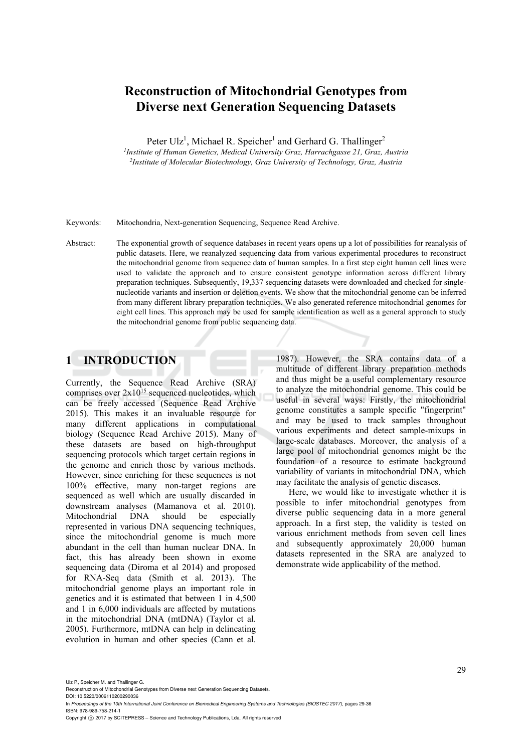# **Reconstruction of Mitochondrial Genotypes from Diverse next Generation Sequencing Datasets**

Peter Ulz<sup>1</sup>, Michael R. Speicher<sup>1</sup> and Gerhard G. Thallinger<sup>2</sup>

<sup>1</sup>Institute of Human Genetics, Medical University Graz, Harrachgasse 21, Graz, Austria *Institute of Human Genetics, Medical University Graz, Harrachgasse 21, Graz, Austria 2Institute of Molecular Biotechnology, Graz University of Technology, Graz, Austria* 

Keywords: Mitochondria, Next-generation Sequencing, Sequence Read Archive.

Abstract: The exponential growth of sequence databases in recent years opens up a lot of possibilities for reanalysis of public datasets. Here, we reanalyzed sequencing data from various experimental procedures to reconstruct the mitochondrial genome from sequence data of human samples. In a first step eight human cell lines were used to validate the approach and to ensure consistent genotype information across different library preparation techniques. Subsequently, 19,337 sequencing datasets were downloaded and checked for singlenucleotide variants and insertion or deletion events. We show that the mitochondrial genome can be inferred from many different library preparation techniques. We also generated reference mitochondrial genomes for eight cell lines. This approach may be used for sample identification as well as a general approach to study the mitochondrial genome from public sequencing data.

## **1 INTRODUCTION**

Currently, the Sequence Read Archive (SRA) comprises over  $2x10^{15}$  sequenced nucleotides, which can be freely accessed (Sequence Read Archive 2015). This makes it an invaluable resource for many different applications in computational biology (Sequence Read Archive 2015). Many of these datasets are based on high-throughput sequencing protocols which target certain regions in the genome and enrich those by various methods. However, since enriching for these sequences is not 100% effective, many non-target regions are sequenced as well which are usually discarded in downstream analyses (Mamanova et al. 2010). Mitochondrial DNA should be especially represented in various DNA sequencing techniques, since the mitochondrial genome is much more abundant in the cell than human nuclear DNA. In fact, this has already been shown in exome sequencing data (Diroma et al 2014) and proposed for RNA-Seq data (Smith et al. 2013). The mitochondrial genome plays an important role in genetics and it is estimated that between 1 in 4,500 and 1 in 6,000 individuals are affected by mutations in the mitochondrial DNA (mtDNA) (Taylor et al. 2005). Furthermore, mtDNA can help in delineating evolution in human and other species (Cann et al.

1987). However, the SRA contains data of a multitude of different library preparation methods and thus might be a useful complementary resource to analyze the mitochondrial genome. This could be useful in several ways: Firstly, the mitochondrial genome constitutes a sample specific "fingerprint" and may be used to track samples throughout various experiments and detect sample-mixups in large-scale databases. Moreover, the analysis of a large pool of mitochondrial genomes might be the foundation of a resource to estimate background variability of variants in mitochondrial DNA, which may facilitate the analysis of genetic diseases.

Here, we would like to investigate whether it is possible to infer mitochondrial genotypes from diverse public sequencing data in a more general approach. In a first step, the validity is tested on various enrichment methods from seven cell lines and subsequently approximately 20,000 human datasets represented in the SRA are analyzed to demonstrate wide applicability of the method.

Ulz P., Speicher M. and Thallinger G.

Reconstruction of Mitochondrial Genotypes from Diverse next Generation Sequencing Datasets. DOI: 10.5220/0006110200290036

In *Proceedings of the 10th International Joint Conference on Biomedical Engineering Systems and Technologies (BIOSTEC 2017)*, pages 29-36 ISBN: 978-989-758-214-1

Copyright © 2017 by SCITEPRESS - Science and Technology Publications, Lda. All rights reserved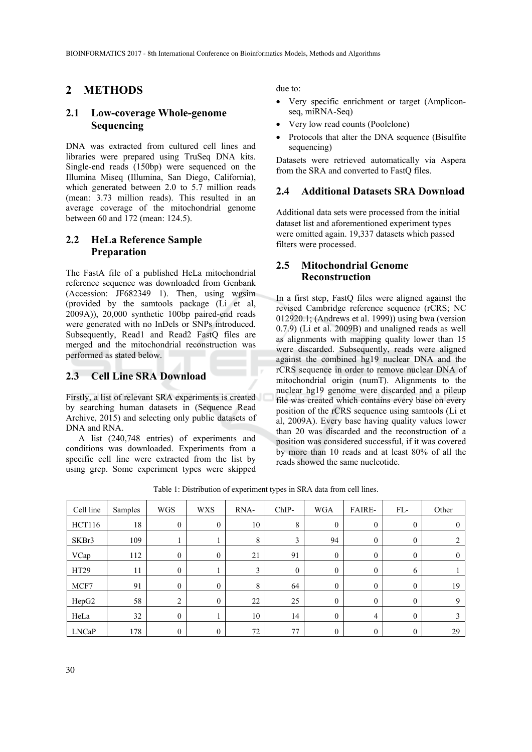## **2 METHODS**

## **2.1 Low-coverage Whole-genome Sequencing**

DNA was extracted from cultured cell lines and libraries were prepared using TruSeq DNA kits. Single-end reads (150bp) were sequenced on the Illumina Miseq (Illumina, San Diego, California), which generated between 2.0 to 5.7 million reads (mean: 3.73 million reads). This resulted in an average coverage of the mitochondrial genome between 60 and 172 (mean: 124.5).

## **2.2 HeLa Reference Sample Preparation**

The FastA file of a published HeLa mitochondrial reference sequence was downloaded from Genbank (Accession: JF682349 1). Then, using wgsim (provided by the samtools package (Li et al, 2009A)), 20,000 synthetic 100bp paired-end reads were generated with no InDels or SNPs introduced. Subsequently, Read1 and Read2 FastQ files are merged and the mitochondrial reconstruction was performed as stated below.

## **2.3 Cell Line SRA Download**

Firstly, a list of relevant SRA experiments is created by searching human datasets in (Sequence Read Archive, 2015) and selecting only public datasets of DNA and RNA.

A list (240,748 entries) of experiments and conditions was downloaded. Experiments from a specific cell line were extracted from the list by using grep. Some experiment types were skipped due to:

- Very specific enrichment or target (Ampliconseq, miRNA-Seq)
- Very low read counts (Poolclone)
- Protocols that alter the DNA sequence (Bisulfite sequencing)

Datasets were retrieved automatically via Aspera from the SRA and converted to FastQ files.

#### **2.4 Additional Datasets SRA Download**

Additional data sets were processed from the initial dataset list and aforementioned experiment types were omitted again. 19,337 datasets which passed filters were processed.

#### **2.5 Mitochondrial Genome Reconstruction**

In a first step, FastQ files were aligned against the revised Cambridge reference sequence (rCRS; NC 012920.1; (Andrews et al. 1999)) using bwa (version 0.7.9) (Li et al. 2009B) and unaligned reads as well as alignments with mapping quality lower than 15 were discarded. Subsequently, reads were aligned against the combined hg19 nuclear DNA and the rCRS sequence in order to remove nuclear DNA of mitochondrial origin (numT). Alignments to the nuclear hg19 genome were discarded and a pileup file was created which contains every base on every position of the rCRS sequence using samtools (Li et al, 2009A). Every base having quality values lower than 20 was discarded and the reconstruction of a position was considered successful, if it was covered by more than 10 reads and at least 80% of all the reads showed the same nucleotide.

Table 1: Distribution of experiment types in SRA data from cell lines.

| Cell line     | Samples | <b>WGS</b>   | <b>WXS</b>       | RNA- | $ChIP-$  | <b>WGA</b>   | <b>FAIRE-</b>    | FL-              | Other          |
|---------------|---------|--------------|------------------|------|----------|--------------|------------------|------------------|----------------|
| <b>HCT116</b> | 18      | $\mathbf{0}$ | $\boldsymbol{0}$ | 10   | 8        | $\mathbf{0}$ | $\boldsymbol{0}$ | $\boldsymbol{0}$ | $\mathbf{0}$   |
| SKBr3         | 109     |              |                  | 8    | 3        | 94           | $\mathbf{0}$     | $\boldsymbol{0}$ | 2              |
| VCap          | 112     | $\theta$     | $\theta$         | 21   | 91       | $\theta$     | $\mathbf{0}$     | $\boldsymbol{0}$ | $\overline{0}$ |
| HT29          | 11      | $\theta$     |                  | 3    | $\theta$ | $\mathbf{0}$ | $\boldsymbol{0}$ | 6                |                |
| MCF7          | 91      | $\theta$     | $\theta$         | 8    | 64       | $\theta$     | $\mathbf{0}$     | $\boldsymbol{0}$ | 19             |
| HepG2         | 58      | 2            | $\mathbf{0}$     | 22   | 25       | $\mathbf{0}$ | $\mathbf{0}$     | $\boldsymbol{0}$ | 9              |
| HeLa          | 32      | $\theta$     |                  | 10   | 14       | $\theta$     | 4                | $\boldsymbol{0}$ | 3              |
| <b>LNCaP</b>  | 178     | $\theta$     | $\mathbf{0}$     | 72   | 77       | $\theta$     | $\boldsymbol{0}$ | 0                | 29             |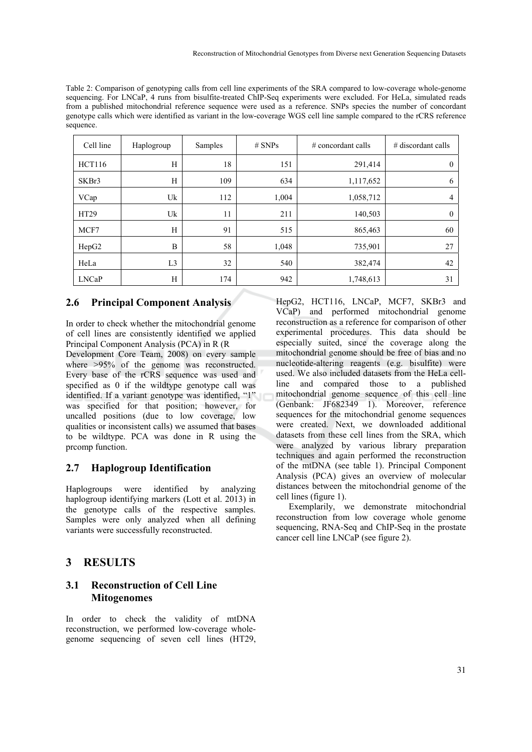Table 2: Comparison of genotyping calls from cell line experiments of the SRA compared to low-coverage whole-genome sequencing. For LNCaP, 4 runs from bisulfite-treated ChIP-Seq experiments were excluded. For HeLa, simulated reads from a published mitochondrial reference sequence were used as a reference. SNPs species the number of concordant genotype calls which were identified as variant in the low-coverage WGS cell line sample compared to the rCRS reference sequence.

| Cell line     | Haplogroup     | Samples | $#$ SNPs | $\#$ concordant calls | $#$ discordant calls |
|---------------|----------------|---------|----------|-----------------------|----------------------|
| <b>HCT116</b> | H              | 18      | 151      | 291,414               | $\theta$             |
| SKBr3         | H              | 109     | 634      | 1,117,652             | 6                    |
| VCap          | Uk             | 112     | 1,004    | 1,058,712             | 4                    |
| HT29          | Uk             | 11      | 211      | 140,503               | $\theta$             |
| MCF7          | H              | 91      | 515      | 865,463               | 60                   |
| HepG2         | B              | 58      | 1,048    | 735,901               | 27                   |
| HeLa          | L <sub>3</sub> | 32      | 540      | 382,474               | 42                   |
| <b>LNCaP</b>  | H              | 174     | 942      | 1,748,613             | 31                   |

#### **2.6 Principal Component Analysis**

In order to check whether the mitochondrial genome of cell lines are consistently identified we applied Principal Component Analysis (PCA) in R (R

Development Core Team, 2008) on every sample where  $>95\%$  of the genome was reconstructed. Every base of the rCRS sequence was used and specified as 0 if the wildtype genotype call was identified. If a variant genotype was identified, "1" was specified for that position; however, for uncalled positions (due to low coverage, low qualities or inconsistent calls) we assumed that bases to be wildtype. PCA was done in R using the prcomp function.

#### **2.7 Haplogroup Identification**

Haplogroups were identified by analyzing haplogroup identifying markers (Lott et al. 2013) in the genotype calls of the respective samples. Samples were only analyzed when all defining variants were successfully reconstructed.

## **3 RESULTS**

#### **3.1 Reconstruction of Cell Line Mitogenomes**

In order to check the validity of mtDNA reconstruction, we performed low-coverage wholegenome sequencing of seven cell lines (HT29, HepG2, HCT116, LNCaP, MCF7, SKBr3 and VCaP) and performed mitochondrial genome reconstruction as a reference for comparison of other experimental procedures. This data should be especially suited, since the coverage along the mitochondrial genome should be free of bias and no nucleotide-altering reagents (e.g. bisulfite) were used. We also included datasets from the HeLa cellline and compared those to a published mitochondrial genome sequence of this cell line (Genbank: JF682349 1). Moreover, reference sequences for the mitochondrial genome sequences were created. Next, we downloaded additional datasets from these cell lines from the SRA, which were analyzed by various library preparation techniques and again performed the reconstruction of the mtDNA (see table 1). Principal Component Analysis (PCA) gives an overview of molecular distances between the mitochondrial genome of the cell lines (figure 1).

Exemplarily, we demonstrate mitochondrial reconstruction from low coverage whole genome sequencing, RNA-Seq and ChIP-Seq in the prostate cancer cell line LNCaP (see figure 2).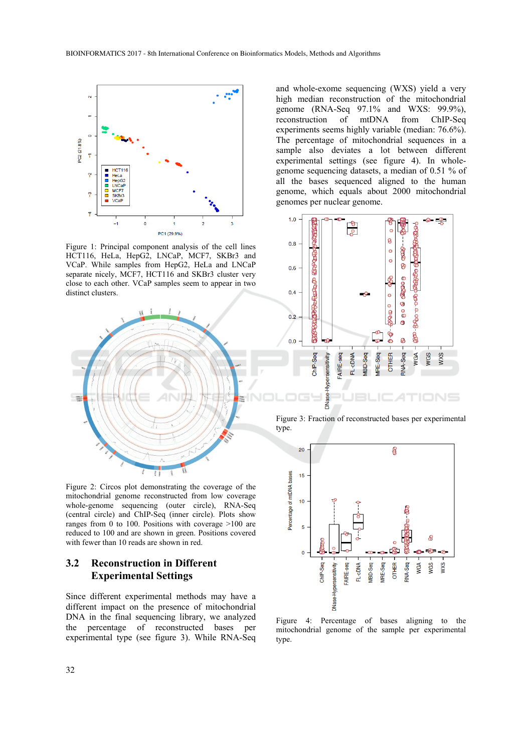

Figure 1: Principal component analysis of the cell lines HCT116, HeLa, HepG2, LNCaP, MCF7, SKBr3 and VCaP. While samples from HepG2, HeLa and LNCaP separate nicely, MCF7, HCT116 and SKBr3 cluster very close to each other. VCaP samples seem to appear in two distinct clusters.



Figure 2: Circos plot demonstrating the coverage of the mitochondrial genome reconstructed from low coverage whole-genome sequencing (outer circle), RNA-Seq (central circle) and ChIP-Seq (inner circle). Plots show ranges from 0 to 100. Positions with coverage  $>100$  are reduced to 100 and are shown in green. Positions covered with fewer than 10 reads are shown in red.

## **3.2 Reconstruction in Different Experimental Settings**

Since different experimental methods may have a different impact on the presence of mitochondrial DNA in the final sequencing library, we analyzed the percentage of reconstructed bases per experimental type (see figure 3). While RNA-Seq

and whole-exome sequencing (WXS) yield a very high median reconstruction of the mitochondrial genome (RNA-Seq 97.1% and WXS: 99.9%), reconstruction of mtDNA from ChIP-Seq experiments seems highly variable (median: 76.6%). The percentage of mitochondrial sequences in a sample also deviates a lot between different experimental settings (see figure 4). In wholegenome sequencing datasets, a median of 0.51 % of all the bases sequenced aligned to the human genome, which equals about 2000 mitochondrial genomes per nuclear genome.



Figure 3: Fraction of reconstructed bases per experimental type.



Figure 4: Percentage of bases aligning to the mitochondrial genome of the sample per experimental type.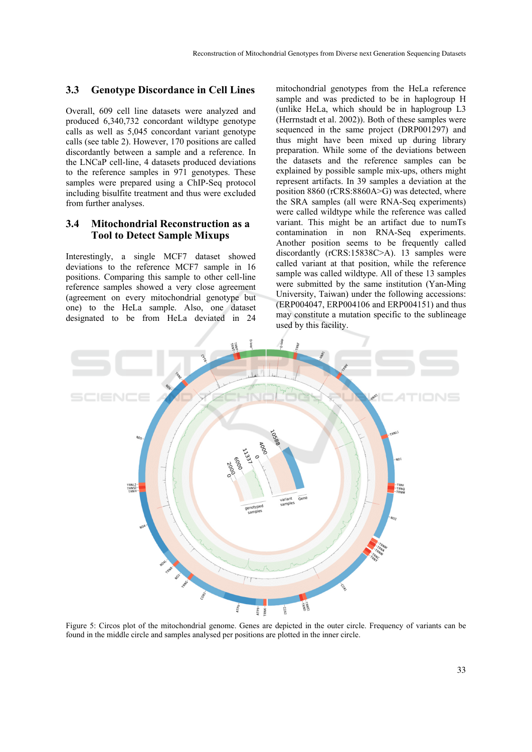#### **3.3 Genotype Discordance in Cell Lines**

Overall, 609 cell line datasets were analyzed and produced 6,340,732 concordant wildtype genotype calls as well as 5,045 concordant variant genotype calls (see table 2). However, 170 positions are called discordantly between a sample and a reference. In the LNCaP cell-line, 4 datasets produced deviations to the reference samples in 971 genotypes. These samples were prepared using a ChIP-Seq protocol including bisulfite treatment and thus were excluded from further analyses.

### **3.4 Mitochondrial Reconstruction as a Tool to Detect Sample Mixups**

Interestingly, a single MCF7 dataset showed deviations to the reference MCF7 sample in 16 positions. Comparing this sample to other cell-line reference samples showed a very close agreement (agreement on every mitochondrial genotype but one) to the HeLa sample. Also, one dataset designated to be from HeLa deviated in 24

mitochondrial genotypes from the HeLa reference sample and was predicted to be in haplogroup H (unlike HeLa, which should be in haplogroup L3 (Herrnstadt et al. 2002)). Both of these samples were sequenced in the same project (DRP001297) and thus might have been mixed up during library preparation. While some of the deviations between the datasets and the reference samples can be explained by possible sample mix-ups, others might represent artifacts. In 39 samples a deviation at the position 8860 ( $rCRS:8860A>G$ ) was detected, where the SRA samples (all were RNA-Seq experiments) were called wildtype while the reference was called variant. This might be an artifact due to numTs contamination in non RNA-Seq experiments. Another position seems to be frequently called discordantly (rCRS:15838C>A). 13 samples were called variant at that position, while the reference sample was called wildtype. All of these 13 samples were submitted by the same institution (Yan-Ming University, Taiwan) under the following accessions: (ERP004047, ERP004106 and ERP004151) and thus may constitute a mutation specific to the sublineage used by this facility.



Figure 5: Circos plot of the mitochondrial genome. Genes are depicted in the outer circle. Frequency of variants can be found in the middle circle and samples analysed per positions are plotted in the inner circle.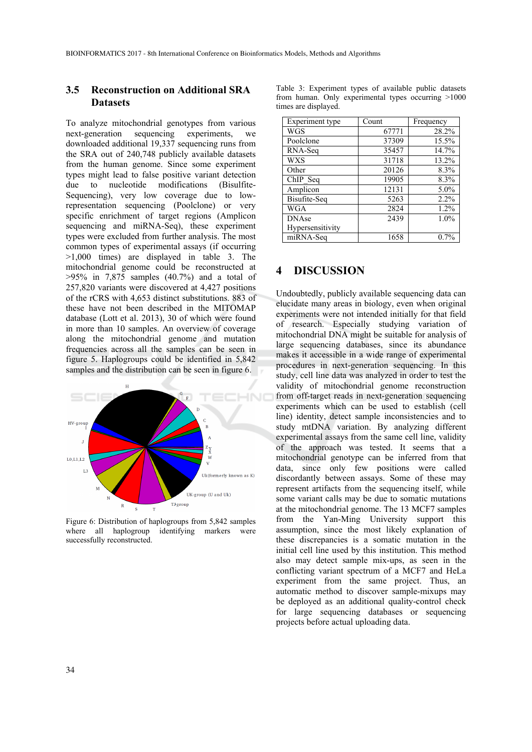## **3.5 Reconstruction on Additional SRA Datasets**

To analyze mitochondrial genotypes from various<br>next-generation sequencing experiments, we sequencing experiments, we downloaded additional 19,337 sequencing runs from the SRA out of 240,748 publicly available datasets from the human genome. Since some experiment types might lead to false positive variant detection due to nucleotide modifications (Bisulfite-Sequencing), very low coverage due to lowrepresentation sequencing (Poolclone) or very specific enrichment of target regions (Amplicon sequencing and miRNA-Seq), these experiment types were excluded from further analysis. The most common types of experimental assays (if occurring >1,000 times) are displayed in table 3. The mitochondrial genome could be reconstructed at  $>95\%$  in 7,875 samples (40.7%) and a total of 257,820 variants were discovered at 4,427 positions of the rCRS with 4,653 distinct substitutions. 883 of these have not been described in the MITOMAP database (Lott et al. 2013), 30 of which were found in more than 10 samples. An overview of coverage along the mitochondrial genome and mutation frequencies across all the samples can be seen in figure 5. Haplogroups could be identified in 5,842 samples and the distribution can be seen in figure 6.



Figure 6: Distribution of haplogroups from 5,842 samples where all haplogroup identifying markers were successfully reconstructed.

|  |                      |  | Table 3: Experiment types of available public datasets |  |
|--|----------------------|--|--------------------------------------------------------|--|
|  |                      |  | from human. Only experimental types occurring $>1000$  |  |
|  | times are displayed. |  |                                                        |  |

| Experiment type  | Count | Frequency |  |
|------------------|-------|-----------|--|
| WGS              | 67771 | 28.2%     |  |
| Poolclone        | 37309 | 15.5%     |  |
| RNA-Seq          | 35457 | 14.7%     |  |
| <b>WXS</b>       | 31718 | 13.2%     |  |
| Other            | 20126 | 8.3%      |  |
| ChIP Seq         | 19905 | 8.3%      |  |
| Amplicon         | 12131 | $5.0\%$   |  |
| Bisufite-Seq     | 5263  | 2.2%      |  |
| WGA              | 2824  | 1.2%      |  |
| <b>DNAse</b>     | 2439  | 1.0%      |  |
| Hypersensitivity |       |           |  |
| miRNA-Seq        | 1658  | 0.7%      |  |

## **4 DISCUSSION**

Undoubtedly, publicly available sequencing data can elucidate many areas in biology, even when original experiments were not intended initially for that field of research. Especially studying variation of mitochondrial DNA might be suitable for analysis of large sequencing databases, since its abundance makes it accessible in a wide range of experimental procedures in next-generation sequencing. In this study, cell line data was analyzed in order to test the validity of mitochondrial genome reconstruction from off-target reads in next-generation sequencing experiments which can be used to establish (cell line) identity, detect sample inconsistencies and to study mtDNA variation. By analyzing different experimental assays from the same cell line, validity of the approach was tested. It seems that a mitochondrial genotype can be inferred from that data, since only few positions were called discordantly between assays. Some of these may represent artifacts from the sequencing itself, while some variant calls may be due to somatic mutations at the mitochondrial genome. The 13 MCF7 samples from the Yan-Ming University support this assumption, since the most likely explanation of these discrepancies is a somatic mutation in the initial cell line used by this institution. This method also may detect sample mix-ups, as seen in the conflicting variant spectrum of a MCF7 and HeLa experiment from the same project. Thus, an automatic method to discover sample-mixups may be deployed as an additional quality-control check for large sequencing databases or sequencing projects before actual uploading data.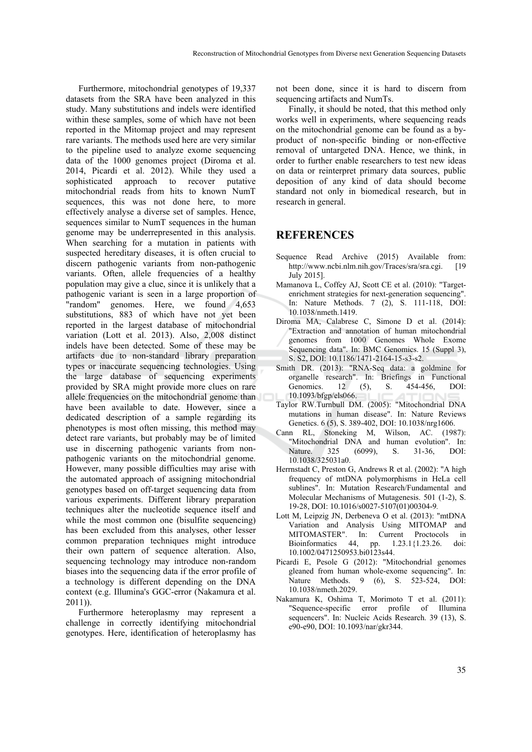Furthermore, mitochondrial genotypes of 19,337 datasets from the SRA have been analyzed in this study. Many substitutions and indels were identified within these samples, some of which have not been reported in the Mitomap project and may represent rare variants. The methods used here are very similar to the pipeline used to analyze exome sequencing data of the 1000 genomes project (Diroma et al. 2014, Picardi et al. 2012). While they used a sophisticated approach to recover putative mitochondrial reads from hits to known NumT sequences, this was not done here, to more effectively analyse a diverse set of samples. Hence, sequences similar to NumT sequences in the human genome may be underrepresented in this analysis. When searching for a mutation in patients with suspected hereditary diseases, it is often crucial to discern pathogenic variants from non-pathogenic variants. Often, allele frequencies of a healthy population may give a clue, since it is unlikely that a pathogenic variant is seen in a large proportion of "random" genomes. Here, we found 4,653 substitutions, 883 of which have not yet been reported in the largest database of mitochondrial variation (Lott et al. 2013). Also, 2,008 distinct indels have been detected. Some of these may be artifacts due to non-standard library preparation types or inaccurate sequencing technologies. Using the large database of sequencing experiments provided by SRA might provide more clues on rare allele frequencies on the mitochondrial genome than have been available to date. However, since a dedicated description of a sample regarding its phenotypes is most often missing, this method may detect rare variants, but probably may be of limited use in discerning pathogenic variants from nonpathogenic variants on the mitochondrial genome. However, many possible difficulties may arise with the automated approach of assigning mitochondrial genotypes based on off-target sequencing data from various experiments. Different library preparation techniques alter the nucleotide sequence itself and while the most common one (bisulfite sequencing) has been excluded from this analyses, other lesser common preparation techniques might introduce their own pattern of sequence alteration. Also, sequencing technology may introduce non-random biases into the sequencing data if the error profile of a technology is different depending on the DNA context (e.g. Illumina's GGC-error (Nakamura et al. 2011)).

Furthermore heteroplasmy may represent a challenge in correctly identifying mitochondrial genotypes. Here, identification of heteroplasmy has not been done, since it is hard to discern from sequencing artifacts and NumTs.

Finally, it should be noted, that this method only works well in experiments, where sequencing reads on the mitochondrial genome can be found as a byproduct of non-specific binding or non-effective removal of untargeted DNA. Hence, we think, in order to further enable researchers to test new ideas on data or reinterpret primary data sources, public deposition of any kind of data should become standard not only in biomedical research, but in research in general.

#### **REFERENCES**

- Sequence Read Archive (2015) Available from: http://www.ncbi.nlm.nih.gov/Traces/sra/sra.cgi. [19 July 2015].
- Mamanova L, Coffey AJ, Scott CE et al. (2010): "Targetenrichment strategies for next-generation sequencing". In: Nature Methods. 7 (2), S. 111-118, DOI: 10.1038/nmeth.1419.
- Diroma MA, Calabrese C, Simone D et al. (2014): "Extraction and annotation of human mitochondrial genomes from 1000 Genomes Whole Exome Sequencing data". In: BMC Genomics. 15 (Suppl 3), S. S2, DOI: 10.1186/1471-2164-15-s3-s2.
- Smith DR. (2013): "RNA-Seq data: a goldmine for organelle research". In: Briefings in Functional Genomics. 12 (5), S. 454-456, DOI: 10.1093/bfgp/els066.
- Taylor RW.Turnbull DM. (2005): "Mitochondrial DNA mutations in human disease". In: Nature Reviews Genetics. 6 (5), S. 389-402, DOI: 10.1038/nrg1606.
- Cann RL, Stoneking M, Wilson, AC. (1987): "Mitochondrial DNA and human evolution". In: Nature. 325 (6099), S. 31-36, DOI: 10.1038/325031a0.
- Herrnstadt C, Preston G, Andrews R et al. (2002): "A high frequency of mtDNA polymorphisms in HeLa cell sublines". In: Mutation Research/Fundamental and Molecular Mechanisms of Mutagenesis. 501 (1-2), S. 19-28, DOI: 10.1016/s0027-5107(01)00304-9*.*
- Lott M, Leipzig JN, Derbeneva O et al. (2013): "mtDNA Variation and Analysis Using MITOMAP and MITOMASTER". In: Current Proctocols in Bioinformatics 44, pp. 1.23.1{1.23.26. doi: 10.1002/0471250953.bi0123s44.
- Picardi E, Pesole G (2012): "Mitochondrial genomes gleaned from human whole-exome sequencing". In: Nature Methods. 9 (6), S. 523-524, DOI: 10.1038/nmeth.2029.
- Nakamura K, Oshima T, Morimoto T et al. (2011): "Sequence-specific error profile of Illumina sequencers". In: Nucleic Acids Research. 39 (13), S. e90-e90, DOI: 10.1093/nar/gkr344.